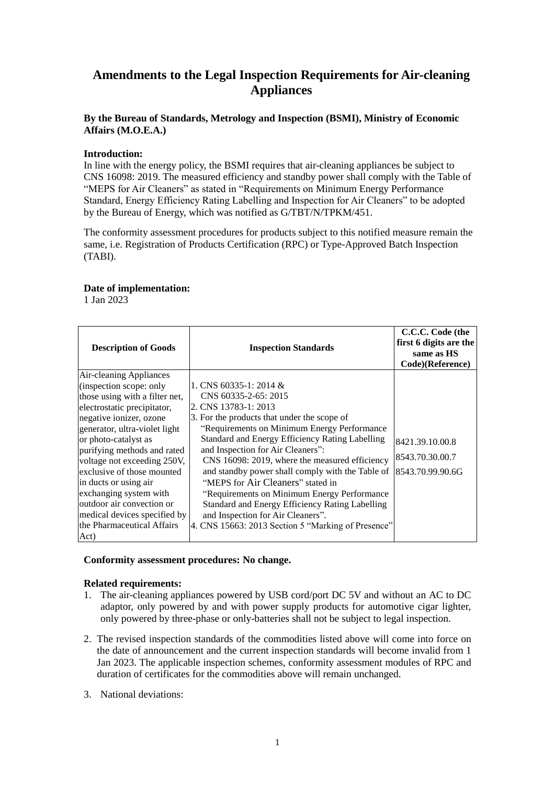# **Amendments to the Legal Inspection Requirements for Air-cleaning Appliances**

## **By the Bureau of Standards, Metrology and Inspection (BSMI), Ministry of Economic Affairs (M.O.E.A.)**

#### **Introduction:**

In line with the energy policy, the BSMI requires that air-cleaning appliances be subject to CNS 16098: 2019. The measured efficiency and standby power shall comply with the Table of "MEPS for Air Cleaners" as stated in "Requirements on Minimum Energy Performance Standard, Energy Efficiency Rating Labelling and Inspection for Air Cleaners" to be adopted by the Bureau of Energy, which was notified as G/TBT/N/TPKM/451.

The conformity assessment procedures for products subject to this notified measure remain the same, i.e. Registration of Products Certification (RPC) or Type-Approved Batch Inspection (TABI).

### **Date of implementation:**

1 Jan 2023

| <b>Description of Goods</b>                                                                                                                                                                                                                                                                                                                                                                                                                       | <b>Inspection Standards</b>                                                                                                                                                                                                                                                                                                                                                                                                                                                                                                                                                                              | C.C.C. Code (the<br>first 6 digits are the<br>same as HS<br>Code)(Reference) |
|---------------------------------------------------------------------------------------------------------------------------------------------------------------------------------------------------------------------------------------------------------------------------------------------------------------------------------------------------------------------------------------------------------------------------------------------------|----------------------------------------------------------------------------------------------------------------------------------------------------------------------------------------------------------------------------------------------------------------------------------------------------------------------------------------------------------------------------------------------------------------------------------------------------------------------------------------------------------------------------------------------------------------------------------------------------------|------------------------------------------------------------------------------|
| Air-cleaning Appliances<br>(inspection scope: only<br>those using with a filter net,<br>electrostatic precipitator,<br>negative ionizer, ozone<br>generator, ultra-violet light<br>or photo-catalyst as<br>purifying methods and rated<br>voltage not exceeding 250V,<br>exclusive of those mounted<br>in ducts or using air<br>exchanging system with<br>outdoor air convection or<br>medical devices specified by<br>the Pharmaceutical Affairs | 1. CNS $60335-1:2014 \&$<br>CNS 60335-2-65: 2015<br>2. CNS 13783-1: 2013<br>3. For the products that under the scope of<br>"Requirements on Minimum Energy Performance"<br>Standard and Energy Efficiency Rating Labelling<br>and Inspection for Air Cleaners":<br>CNS 16098: 2019, where the measured efficiency<br>and standby power shall comply with the Table of<br>"MEPS for Air Cleaners" stated in<br>"Requirements on Minimum Energy Performance"<br>Standard and Energy Efficiency Rating Labelling<br>and Inspection for Air Cleaners".<br>4. CNS 15663: 2013 Section 5 "Marking of Presence" | 8421.39.10.00.8<br>8543.70.30.00.7<br>8543.70.99.90.6G                       |
| Act)                                                                                                                                                                                                                                                                                                                                                                                                                                              |                                                                                                                                                                                                                                                                                                                                                                                                                                                                                                                                                                                                          |                                                                              |

#### **Conformity assessment procedures: No change.**

#### **Related requirements:**

- 1. The air-cleaning appliances powered by USB cord/port DC 5V and without an AC to DC adaptor, only powered by and with power supply products for automotive cigar lighter, only powered by three-phase or only-batteries shall not be subject to legal inspection.
- 2. The revised inspection standards of the commodities listed above will come into force on the date of announcement and the current inspection standards will become invalid from 1 Jan 2023. The applicable inspection schemes, conformity assessment modules of RPC and duration of certificates for the commodities above will remain unchanged.
- 3. National deviations: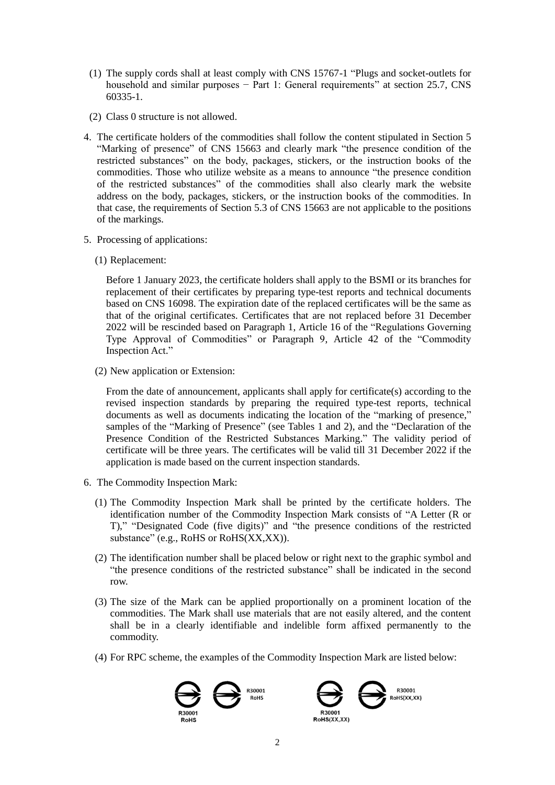- (1) The supply cords shall at least comply with CNS 15767-1 "Plugs and socket-outlets for household and similar purposes − Part 1: General requirements" at section 25.7, CNS 60335-1.
- (2) Class 0 structure is not allowed.
- 4. The certificate holders of the commodities shall follow the content stipulated in Section 5 "Marking of presence" of CNS 15663 and clearly mark "the presence condition of the restricted substances" on the body, packages, stickers, or the instruction books of the commodities. Those who utilize website as a means to announce "the presence condition of the restricted substances" of the commodities shall also clearly mark the website address on the body, packages, stickers, or the instruction books of the commodities. In that case, the requirements of Section 5.3 of CNS 15663 are not applicable to the positions of the markings.
- 5. Processing of applications:
	- (1) Replacement:

Before 1 January 2023, the certificate holders shall apply to the BSMI or its branches for replacement of their certificates by preparing type-test reports and technical documents based on CNS 16098. The expiration date of the replaced certificates will be the same as that of the original certificates. Certificates that are not replaced before 31 December 2022 will be rescinded based on Paragraph 1, Article 16 of the "Regulations Governing Type Approval of Commodities" or Paragraph 9, Article 42 of the "Commodity Inspection Act."

(2) New application or Extension:

From the date of announcement, applicants shall apply for certificate(s) according to the revised inspection standards by preparing the required type-test reports, technical documents as well as documents indicating the location of the "marking of presence," samples of the "Marking of Presence" (see Tables 1 and 2), and the "Declaration of the Presence Condition of the Restricted Substances Marking." The validity period of certificate will be three years. The certificates will be valid till 31 December 2022 if the application is made based on the current inspection standards.

- 6. The Commodity Inspection Mark:
	- (1) The Commodity Inspection Mark shall be printed by the certificate holders. The identification number of the Commodity Inspection Mark consists of "A Letter (R or T)," "Designated Code (five digits)" and "the presence conditions of the restricted substance" (e.g., RoHS or RoHS(XX,XX)).
	- (2) The identification number shall be placed below or right next to the graphic symbol and "the presence conditions of the restricted substance" shall be indicated in the second row.
	- (3) The size of the Mark can be applied proportionally on a prominent location of the commodities. The Mark shall use materials that are not easily altered, and the content shall be in a clearly identifiable and indelible form affixed permanently to the commodity.
	- (4) For RPC scheme, the examples of the Commodity Inspection Mark are listed below:



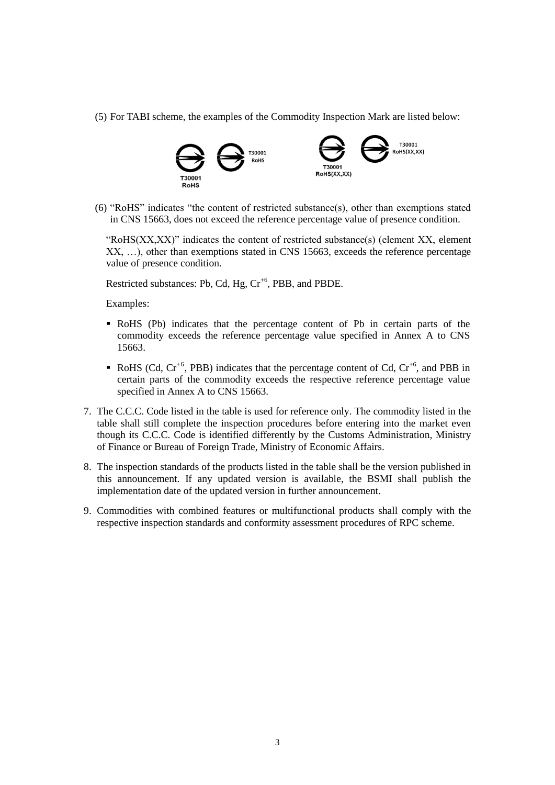(5) For TABI scheme, the examples of the Commodity Inspection Mark are listed below:



(6) "RoHS" indicates "the content of restricted substance(s), other than exemptions stated in CNS 15663, does not exceed the reference percentage value of presence condition.

"RoHS(XX,XX)" indicates the content of restricted substance(s) (element XX, element XX, …), other than exemptions stated in CNS 15663, exceeds the reference percentage value of presence condition.

Restricted substances: Pb, Cd, Hg,  $Cr^{+6}$ , PBB, and PBDE.

Examples:

- RoHS (Pb) indicates that the percentage content of Pb in certain parts of the commodity exceeds the reference percentage value specified in Annex A to CNS 15663.
- RoHS (Cd,  $Cr^{+6}$ , PBB) indicates that the percentage content of Cd,  $Cr^{+6}$ , and PBB in certain parts of the commodity exceeds the respective reference percentage value specified in Annex A to CNS 15663.
- 7. The C.C.C. Code listed in the table is used for reference only. The commodity listed in the table shall still complete the inspection procedures before entering into the market even though its C.C.C. Code is identified differently by the Customs Administration, Ministry of Finance or Bureau of Foreign Trade, Ministry of Economic Affairs.
- 8. The inspection standards of the products listed in the table shall be the version published in this announcement. If any updated version is available, the BSMI shall publish the implementation date of the updated version in further announcement.
- 9. Commodities with combined features or multifunctional products shall comply with the respective inspection standards and conformity assessment procedures of RPC scheme.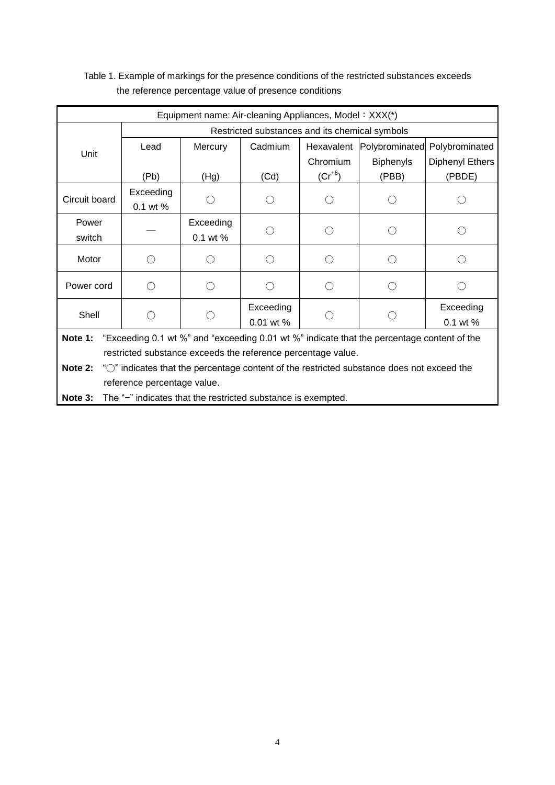# Table 1. Example of markings for the presence conditions of the restricted substances exceeds the reference percentage value of presence conditions

| Equipment name: Air-cleaning Appliances, Model: XXX(*)                                                           |                                                |           |                          |             |                  |                       |  |  |
|------------------------------------------------------------------------------------------------------------------|------------------------------------------------|-----------|--------------------------|-------------|------------------|-----------------------|--|--|
|                                                                                                                  | Restricted substances and its chemical symbols |           |                          |             |                  |                       |  |  |
| Unit                                                                                                             | Lead                                           | Mercury   | Cadmium                  | Hexavalent  | Polybrominated   | Polybrominated        |  |  |
|                                                                                                                  |                                                |           |                          | Chromium    | <b>Biphenyls</b> | Diphenyl Ethers       |  |  |
|                                                                                                                  | (Pb)                                           | (Hg)      | (Cd)                     | $(Cr^{+6})$ | (PBB)            | (PBDE)                |  |  |
| Circuit board                                                                                                    | Exceeding                                      |           |                          |             |                  |                       |  |  |
|                                                                                                                  | 0.1 wt %                                       |           |                          |             |                  |                       |  |  |
| Power                                                                                                            |                                                | Exceeding |                          |             |                  |                       |  |  |
| switch                                                                                                           |                                                | 0.1 wt %  |                          |             |                  |                       |  |  |
| Motor                                                                                                            |                                                |           |                          |             |                  |                       |  |  |
| Power cord                                                                                                       |                                                |           |                          |             |                  |                       |  |  |
| Shell                                                                                                            |                                                |           | Exceeding<br>$0.01$ wt % |             |                  | Exceeding<br>0.1 wt % |  |  |
| Note 1:<br>"Exceeding 0.1 wt %" and "exceeding 0.01 wt %" indicate that the percentage content of the            |                                                |           |                          |             |                  |                       |  |  |
| restricted substance exceeds the reference percentage value.                                                     |                                                |           |                          |             |                  |                       |  |  |
| Note 2:<br>" <sup>O"</sup> indicates that the percentage content of the restricted substance does not exceed the |                                                |           |                          |             |                  |                       |  |  |
| reference percentage value.                                                                                      |                                                |           |                          |             |                  |                       |  |  |
| Note 3:<br>The "-" indicates that the restricted substance is exempted.                                          |                                                |           |                          |             |                  |                       |  |  |